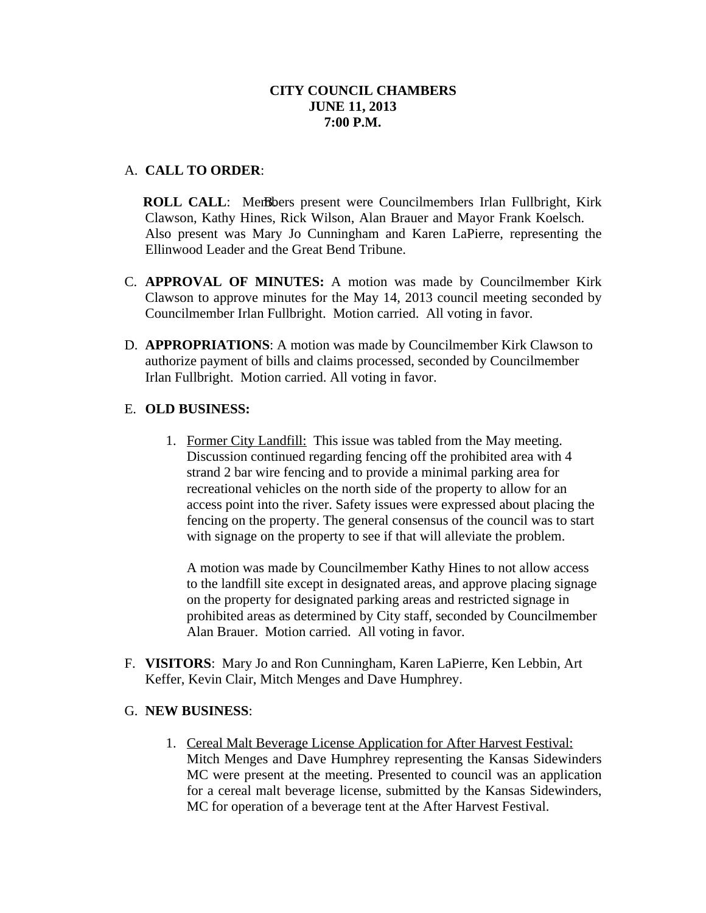## A. **CALL TO ORDER**:

**ROLL CALL:** Members present were Councilmembers Irlan Fullbright, Kirk Clawson, Kathy Hines, Rick Wilson, Alan Brauer and Mayor Frank Koelsch. Also present was Mary Jo Cunningham and Karen LaPierre, representing the Ellinwood Leader and the Great Bend Tribune.

- C. **APPROVAL OF MINUTES:** A motion was made by Councilmember Kirk Clawson to approve minutes for the May 14, 2013 council meeting seconded by Councilmember Irlan Fullbright. Motion carried. All voting in favor.
- D. **APPROPRIATIONS**: A motion was made by Councilmember Kirk Clawson to authorize payment of bills and claims processed, seconded by Councilmember Irlan Fullbright. Motion carried. All voting in favor.

# E. **OLD BUSINESS:**

1. Former City Landfill: This issue was tabled from the May meeting. Discussion continued regarding fencing off the prohibited area with 4 strand 2 bar wire fencing and to provide a minimal parking area for recreational vehicles on the north side of the property to allow for an access point into the river. Safety issues were expressed about placing the fencing on the property. The general consensus of the council was to start with signage on the property to see if that will alleviate the problem.

A motion was made by Councilmember Kathy Hines to not allow access to the landfill site except in designated areas, and approve placing signage on the property for designated parking areas and restricted signage in prohibited areas as determined by City staff, seconded by Councilmember Alan Brauer. Motion carried. All voting in favor.

F. **VISITORS**: Mary Jo and Ron Cunningham, Karen LaPierre, Ken Lebbin, Art Keffer, Kevin Clair, Mitch Menges and Dave Humphrey.

## G. **NEW BUSINESS**:

1. Cereal Malt Beverage License Application for After Harvest Festival: Mitch Menges and Dave Humphrey representing the Kansas Sidewinders MC were present at the meeting. Presented to council was an application for a cereal malt beverage license, submitted by the Kansas Sidewinders, MC for operation of a beverage tent at the After Harvest Festival.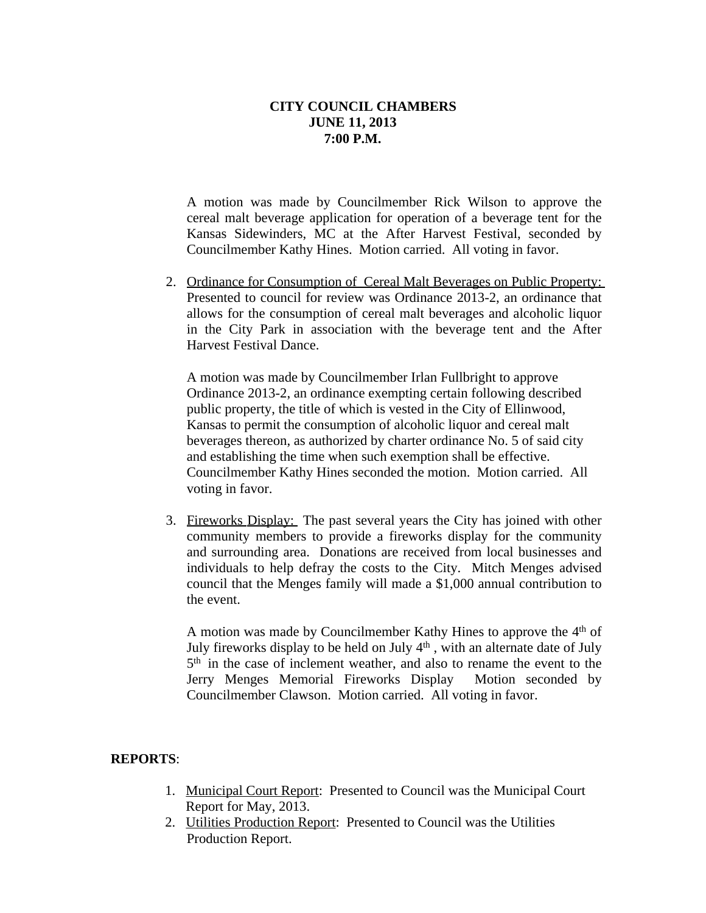A motion was made by Councilmember Rick Wilson to approve the cereal malt beverage application for operation of a beverage tent for the Kansas Sidewinders, MC at the After Harvest Festival, seconded by Councilmember Kathy Hines. Motion carried. All voting in favor.

2. Ordinance for Consumption of Cereal Malt Beverages on Public Property: Presented to council for review was Ordinance 2013-2, an ordinance that allows for the consumption of cereal malt beverages and alcoholic liquor in the City Park in association with the beverage tent and the After Harvest Festival Dance.

A motion was made by Councilmember Irlan Fullbright to approve Ordinance 2013-2, an ordinance exempting certain following described public property, the title of which is vested in the City of Ellinwood, Kansas to permit the consumption of alcoholic liquor and cereal malt beverages thereon, as authorized by charter ordinance No. 5 of said city and establishing the time when such exemption shall be effective. Councilmember Kathy Hines seconded the motion. Motion carried. All voting in favor.

3. Fireworks Display: The past several years the City has joined with other community members to provide a fireworks display for the community and surrounding area. Donations are received from local businesses and individuals to help defray the costs to the City. Mitch Menges advised council that the Menges family will made a \$1,000 annual contribution to the event.

A motion was made by Councilmember Kathy Hines to approve the 4<sup>th</sup> of July fireworks display to be held on July 4<sup>th</sup>, with an alternate date of July 5 th in the case of inclement weather, and also to rename the event to the Jerry Menges Memorial Fireworks Display Motion seconded by Councilmember Clawson. Motion carried. All voting in favor.

#### **REPORTS**:

- 1. Municipal Court Report: Presented to Council was the Municipal Court Report for May, 2013.
- 2. Utilities Production Report: Presented to Council was the Utilities Production Report.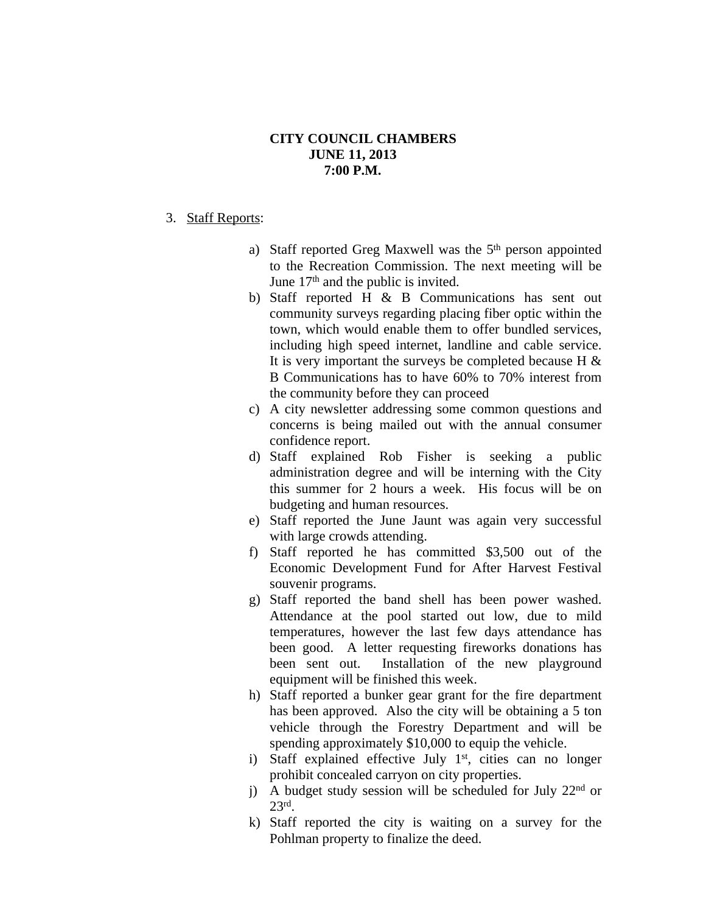#### 3. Staff Reports:

- a) Staff reported Greg Maxwell was the 5<sup>th</sup> person appointed to the Recreation Commission. The next meeting will be June 17<sup>th</sup> and the public is invited.
- b) Staff reported H & B Communications has sent out community surveys regarding placing fiber optic within the town, which would enable them to offer bundled services, including high speed internet, landline and cable service. It is very important the surveys be completed because H  $\&$ B Communications has to have 60% to 70% interest from the community before they can proceed
- c) A city newsletter addressing some common questions and concerns is being mailed out with the annual consumer confidence report.
- d) Staff explained Rob Fisher is seeking a public administration degree and will be interning with the City this summer for 2 hours a week. His focus will be on budgeting and human resources.
- e) Staff reported the June Jaunt was again very successful with large crowds attending.
- f) Staff reported he has committed \$3,500 out of the Economic Development Fund for After Harvest Festival souvenir programs.
- g) Staff reported the band shell has been power washed. Attendance at the pool started out low, due to mild temperatures, however the last few days attendance has been good. A letter requesting fireworks donations has been sent out. Installation of the new playground equipment will be finished this week.
- h) Staff reported a bunker gear grant for the fire department has been approved. Also the city will be obtaining a 5 ton vehicle through the Forestry Department and will be spending approximately \$10,000 to equip the vehicle.
- i) Staff explained effective July 1<sup>st</sup>, cities can no longer prohibit concealed carryon on city properties.
- j) A budget study session will be scheduled for July  $22<sup>nd</sup>$  or 23rd .
- k) Staff reported the city is waiting on a survey for the Pohlman property to finalize the deed.